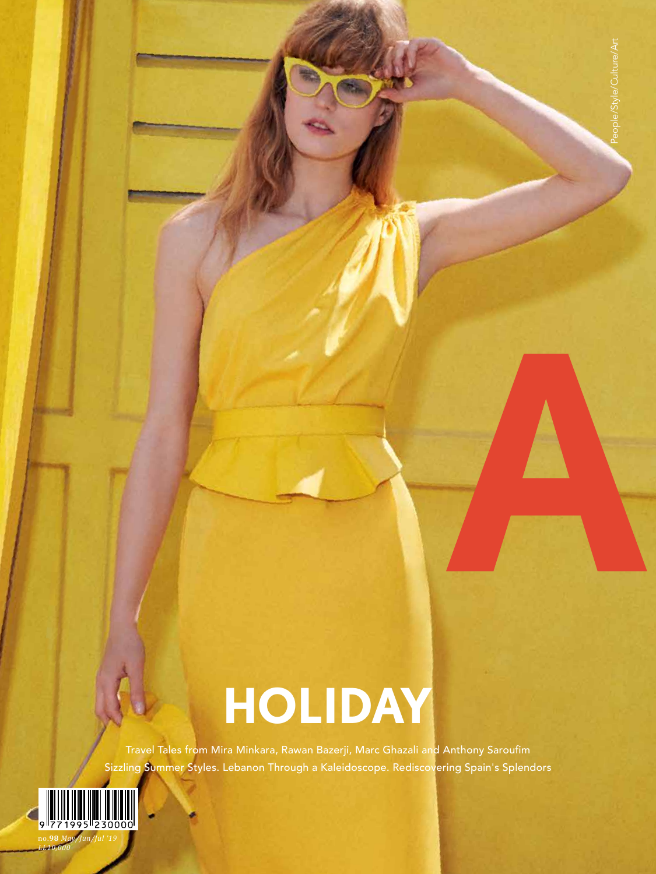## **HOLIDAY**

Travel Tales from Mira Minkara, Rawan Bazerji, Marc Ghazali and Anthony Saroufim Sizzling Summer Styles. Lebanon Through a Kaleidoscope. Rediscovering Spain's Splendors